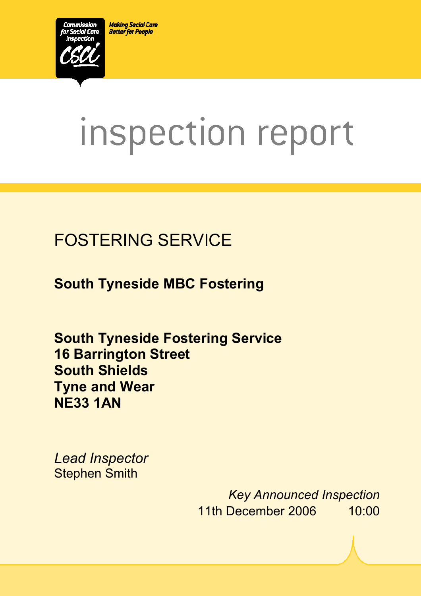**Making Social Care Better for People** 



# inspection report

# FOSTERING SERVICE

**South Tyneside MBC Fostering** 

**South Tyneside Fostering Service 16 Barrington Street South Shields Tyne and Wear NE33 1AN** 

 $X_1$ 10029.doc Version 1.40 Page 1.40 Page 1.40 Page 1.40 Page 1.40 Page 1.40 Page 1.40 Page 1.40 Page 1.40 Page 1.40 Page 1.40 Page 1.40 Page 1.40 Page 1.40 Page 1.40 Page 1.40 Page 1.40 Page 1.40 Page 1.40 Page 1.40 Pag

*Lead Inspector*  Stephen Smith

> *Key Announced Inspection* 11th December 2006 10:00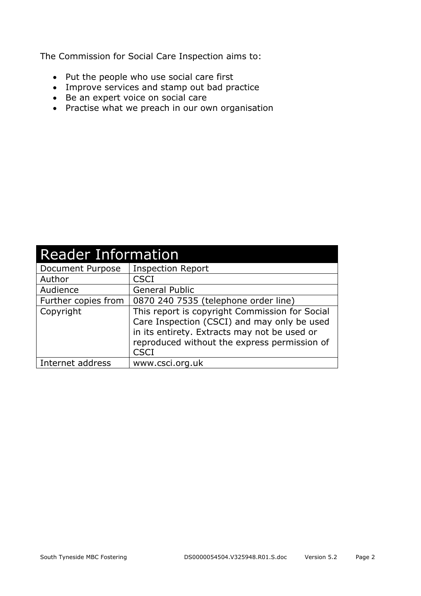The Commission for Social Care Inspection aims to:

- Put the people who use social care first
- Improve services and stamp out bad practice
- Be an expert voice on social care
- Practise what we preach in our own organisation

| <b>Reader Information</b> |                                                                                                                                                                                                              |  |
|---------------------------|--------------------------------------------------------------------------------------------------------------------------------------------------------------------------------------------------------------|--|
| Document Purpose          | <b>Inspection Report</b>                                                                                                                                                                                     |  |
| Author                    | <b>CSCI</b>                                                                                                                                                                                                  |  |
| Audience                  | <b>General Public</b>                                                                                                                                                                                        |  |
| Further copies from       | 0870 240 7535 (telephone order line)                                                                                                                                                                         |  |
| Copyright                 | This report is copyright Commission for Social<br>Care Inspection (CSCI) and may only be used<br>in its entirety. Extracts may not be used or<br>reproduced without the express permission of<br><b>CSCI</b> |  |
| Internet address          | www.csci.org.uk                                                                                                                                                                                              |  |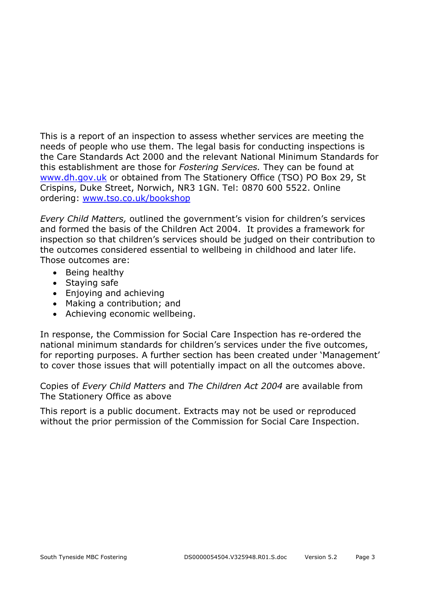This is a report of an inspection to assess whether services are meeting the needs of people who use them. The legal basis for conducting inspections is the Care Standards Act 2000 and the relevant National Minimum Standards for this establishment are those for *Fostering Services.* They can be found at www.dh.gov.uk or obtained from The Stationery Office (TSO) PO Box 29, St Crispins, Duke Street, Norwich, NR3 1GN. Tel: 0870 600 5522. Online ordering: www.tso.co.uk/bookshop

*Every Child Matters,* outlined the government's vision for children's services and formed the basis of the Children Act 2004. It provides a framework for inspection so that children's services should be judged on their contribution to the outcomes considered essential to wellbeing in childhood and later life. Those outcomes are:

- Being healthy
- Staying safe
- Enjoying and achieving
- Making a contribution; and
- Achieving economic wellbeing.

In response, the Commission for Social Care Inspection has re-ordered the national minimum standards for children's services under the five outcomes, for reporting purposes. A further section has been created under 'Management' to cover those issues that will potentially impact on all the outcomes above.

Copies of *Every Child Matters* and *The Children Act 2004* are available from The Stationery Office as above

This report is a public document. Extracts may not be used or reproduced without the prior permission of the Commission for Social Care Inspection.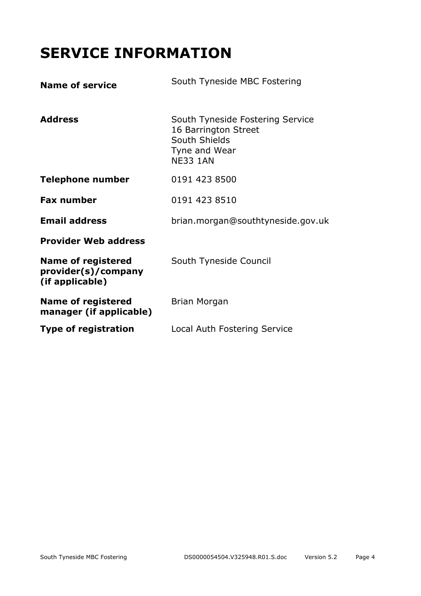# **SERVICE INFORMATION**

| <b>Name of service</b>                                              | South Tyneside MBC Fostering                                                                                  |
|---------------------------------------------------------------------|---------------------------------------------------------------------------------------------------------------|
| <b>Address</b>                                                      | South Tyneside Fostering Service<br>16 Barrington Street<br>South Shields<br>Tyne and Wear<br><b>NE33 1AN</b> |
| <b>Telephone number</b>                                             | 0191 423 8500                                                                                                 |
| <b>Fax number</b>                                                   | 0191 423 8510                                                                                                 |
| <b>Email address</b>                                                | brian.morgan@southtyneside.gov.uk                                                                             |
| <b>Provider Web address</b>                                         |                                                                                                               |
| <b>Name of registered</b><br>provider(s)/company<br>(if applicable) | South Tyneside Council                                                                                        |
| <b>Name of registered</b><br>manager (if applicable)                | Brian Morgan                                                                                                  |
| <b>Type of registration</b>                                         | Local Auth Fostering Service                                                                                  |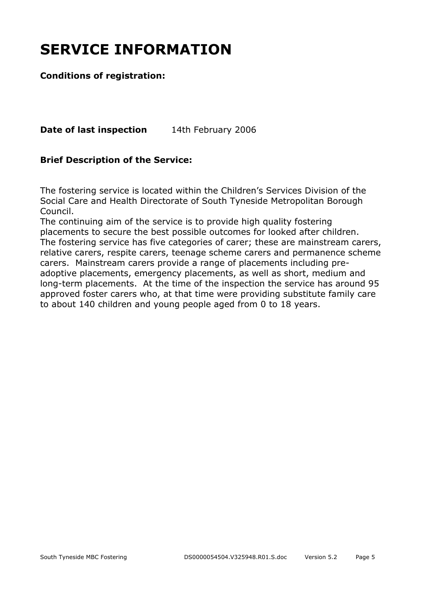# **SERVICE INFORMATION**

#### **Conditions of registration:**

**Date of last inspection** 14th February 2006

#### **Brief Description of the Service:**

The fostering service is located within the Children's Services Division of the Social Care and Health Directorate of South Tyneside Metropolitan Borough Council.

The continuing aim of the service is to provide high quality fostering placements to secure the best possible outcomes for looked after children. The fostering service has five categories of carer; these are mainstream carers, relative carers, respite carers, teenage scheme carers and permanence scheme carers. Mainstream carers provide a range of placements including preadoptive placements, emergency placements, as well as short, medium and long-term placements. At the time of the inspection the service has around 95 approved foster carers who, at that time were providing substitute family care to about 140 children and young people aged from 0 to 18 years.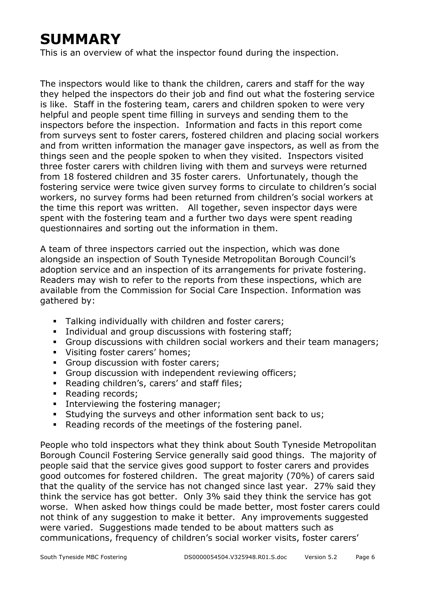# **SUMMARY**

This is an overview of what the inspector found during the inspection.

The inspectors would like to thank the children, carers and staff for the way they helped the inspectors do their job and find out what the fostering service is like. Staff in the fostering team, carers and children spoken to were very helpful and people spent time filling in surveys and sending them to the inspectors before the inspection. Information and facts in this report come from surveys sent to foster carers, fostered children and placing social workers and from written information the manager gave inspectors, as well as from the things seen and the people spoken to when they visited. Inspectors visited three foster carers with children living with them and surveys were returned from 18 fostered children and 35 foster carers. Unfortunately, though the fostering service were twice given survey forms to circulate to children's social workers, no survey forms had been returned from children's social workers at the time this report was written. All together, seven inspector days were spent with the fostering team and a further two days were spent reading questionnaires and sorting out the information in them.

A team of three inspectors carried out the inspection, which was done alongside an inspection of South Tyneside Metropolitan Borough Council's adoption service and an inspection of its arrangements for private fostering. Readers may wish to refer to the reports from these inspections, which are available from the Commission for Social Care Inspection. Information was gathered by:

- **Talking individually with children and foster carers;**
- **Individual and group discussions with fostering staff;**
- Group discussions with children social workers and their team managers;
- **Visiting foster carers' homes;**
- Group discussion with foster carers:
- Group discussion with independent reviewing officers;
- Reading children's, carers' and staff files;
- Reading records;
- **Interviewing the fostering manager;**
- Studying the surveys and other information sent back to us;
- Reading records of the meetings of the fostering panel.

People who told inspectors what they think about South Tyneside Metropolitan Borough Council Fostering Service generally said good things. The majority of people said that the service gives good support to foster carers and provides good outcomes for fostered children. The great majority (70%) of carers said that the quality of the service has not changed since last year. 27% said they think the service has got better. Only 3% said they think the service has got worse. When asked how things could be made better, most foster carers could not think of any suggestion to make it better. Any improvements suggested were varied. Suggestions made tended to be about matters such as communications, frequency of children's social worker visits, foster carers'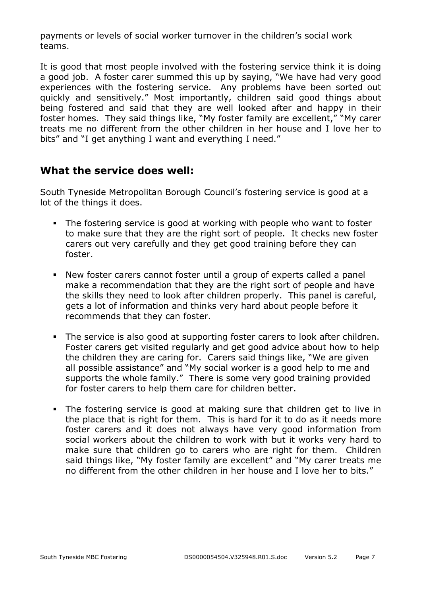payments or levels of social worker turnover in the children's social work teams.

It is good that most people involved with the fostering service think it is doing a good job. A foster carer summed this up by saying, "We have had very good experiences with the fostering service. Any problems have been sorted out quickly and sensitively." Most importantly, children said good things about being fostered and said that they are well looked after and happy in their foster homes. They said things like, "My foster family are excellent," "My carer treats me no different from the other children in her house and I love her to bits" and "I get anything I want and everything I need."

#### **What the service does well:**

South Tyneside Metropolitan Borough Council's fostering service is good at a lot of the things it does.

- The fostering service is good at working with people who want to foster to make sure that they are the right sort of people. It checks new foster carers out very carefully and they get good training before they can foster.
- New foster carers cannot foster until a group of experts called a panel make a recommendation that they are the right sort of people and have the skills they need to look after children properly. This panel is careful, gets a lot of information and thinks very hard about people before it recommends that they can foster.
- The service is also good at supporting foster carers to look after children. Foster carers get visited regularly and get good advice about how to help the children they are caring for. Carers said things like, "We are given all possible assistance" and "My social worker is a good help to me and supports the whole family." There is some very good training provided for foster carers to help them care for children better.
- The fostering service is good at making sure that children get to live in the place that is right for them. This is hard for it to do as it needs more foster carers and it does not always have very good information from social workers about the children to work with but it works very hard to make sure that children go to carers who are right for them. Children said things like, "My foster family are excellent" and "My carer treats me no different from the other children in her house and I love her to bits."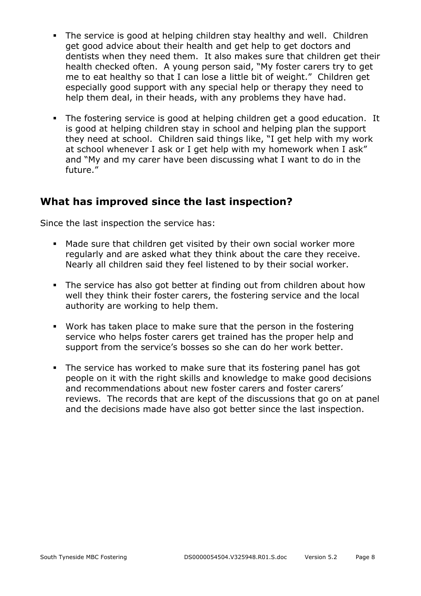- The service is good at helping children stay healthy and well. Children get good advice about their health and get help to get doctors and dentists when they need them. It also makes sure that children get their health checked often. A young person said, "My foster carers try to get me to eat healthy so that I can lose a little bit of weight." Children get especially good support with any special help or therapy they need to help them deal, in their heads, with any problems they have had.
- The fostering service is good at helping children get a good education. It is good at helping children stay in school and helping plan the support they need at school. Children said things like, "I get help with my work at school whenever I ask or I get help with my homework when I ask" and "My and my carer have been discussing what I want to do in the future."

#### **What has improved since the last inspection?**

Since the last inspection the service has:

- Made sure that children get visited by their own social worker more regularly and are asked what they think about the care they receive. Nearly all children said they feel listened to by their social worker.
- The service has also got better at finding out from children about how well they think their foster carers, the fostering service and the local authority are working to help them.
- Work has taken place to make sure that the person in the fostering service who helps foster carers get trained has the proper help and support from the service's bosses so she can do her work better.
- The service has worked to make sure that its fostering panel has got people on it with the right skills and knowledge to make good decisions and recommendations about new foster carers and foster carers' reviews. The records that are kept of the discussions that go on at panel and the decisions made have also got better since the last inspection.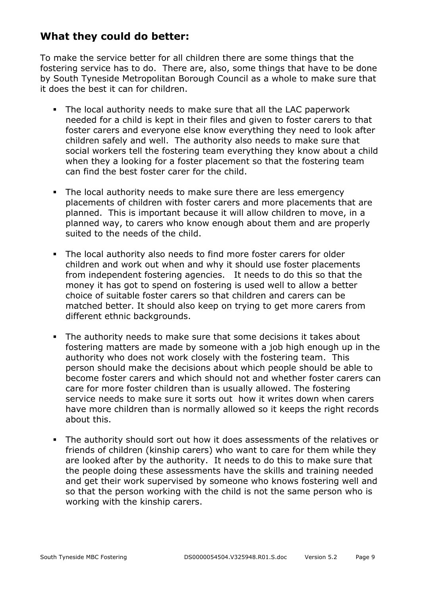#### **What they could do better:**

To make the service better for all children there are some things that the fostering service has to do. There are, also, some things that have to be done by South Tyneside Metropolitan Borough Council as a whole to make sure that it does the best it can for children.

- The local authority needs to make sure that all the LAC paperwork needed for a child is kept in their files and given to foster carers to that foster carers and everyone else know everything they need to look after children safely and well. The authority also needs to make sure that social workers tell the fostering team everything they know about a child when they a looking for a foster placement so that the fostering team can find the best foster carer for the child.
- The local authority needs to make sure there are less emergency placements of children with foster carers and more placements that are planned. This is important because it will allow children to move, in a planned way, to carers who know enough about them and are properly suited to the needs of the child.
- The local authority also needs to find more foster carers for older children and work out when and why it should use foster placements from independent fostering agencies. It needs to do this so that the money it has got to spend on fostering is used well to allow a better choice of suitable foster carers so that children and carers can be matched better. It should also keep on trying to get more carers from different ethnic backgrounds.
- The authority needs to make sure that some decisions it takes about fostering matters are made by someone with a job high enough up in the authority who does not work closely with the fostering team. This person should make the decisions about which people should be able to become foster carers and which should not and whether foster carers can care for more foster children than is usually allowed. The fostering service needs to make sure it sorts out how it writes down when carers have more children than is normally allowed so it keeps the right records about this.
- The authority should sort out how it does assessments of the relatives or friends of children (kinship carers) who want to care for them while they are looked after by the authority. It needs to do this to make sure that the people doing these assessments have the skills and training needed and get their work supervised by someone who knows fostering well and so that the person working with the child is not the same person who is working with the kinship carers.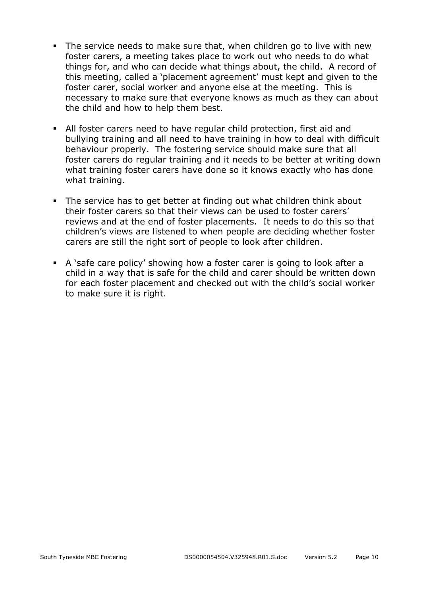- The service needs to make sure that, when children go to live with new foster carers, a meeting takes place to work out who needs to do what things for, and who can decide what things about, the child. A record of this meeting, called a 'placement agreement' must kept and given to the foster carer, social worker and anyone else at the meeting. This is necessary to make sure that everyone knows as much as they can about the child and how to help them best.
- All foster carers need to have regular child protection, first aid and bullying training and all need to have training in how to deal with difficult behaviour properly. The fostering service should make sure that all foster carers do regular training and it needs to be better at writing down what training foster carers have done so it knows exactly who has done what training.
- The service has to get better at finding out what children think about their foster carers so that their views can be used to foster carers' reviews and at the end of foster placements. It needs to do this so that children's views are listened to when people are deciding whether foster carers are still the right sort of people to look after children.
- A 'safe care policy' showing how a foster carer is going to look after a child in a way that is safe for the child and carer should be written down for each foster placement and checked out with the child's social worker to make sure it is right.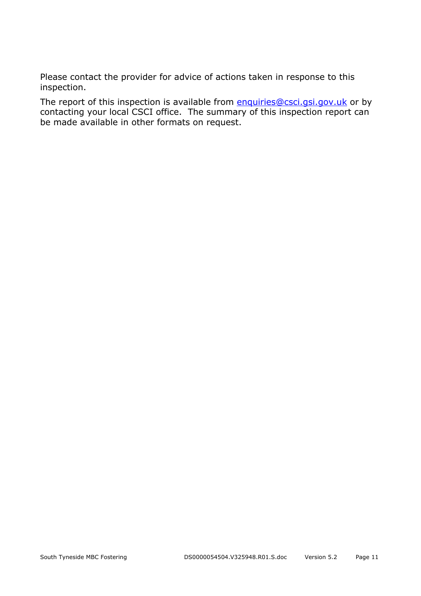Please contact the provider for advice of actions taken in response to this inspection.

The report of this inspection is available from enquiries@csci.gsi.gov.uk or by contacting your local CSCI office. The summary of this inspection report can be made available in other formats on request.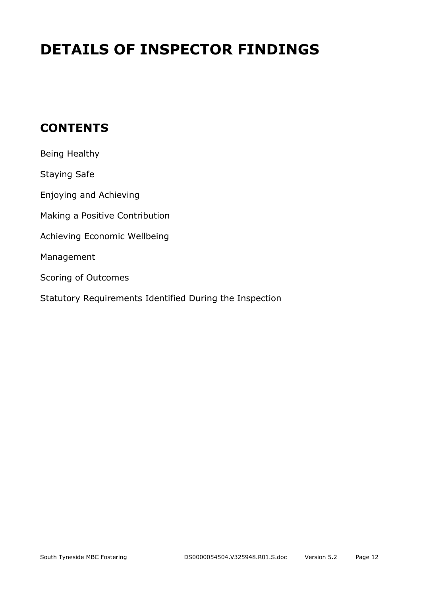# **DETAILS OF INSPECTOR FINDINGS**

## **CONTENTS**

| Being Healthy                                           |
|---------------------------------------------------------|
| <b>Staying Safe</b>                                     |
| Enjoying and Achieving                                  |
| Making a Positive Contribution                          |
| Achieving Economic Wellbeing                            |
| Management                                              |
| Scoring of Outcomes                                     |
| Statutory Requirements Identified During the Inspection |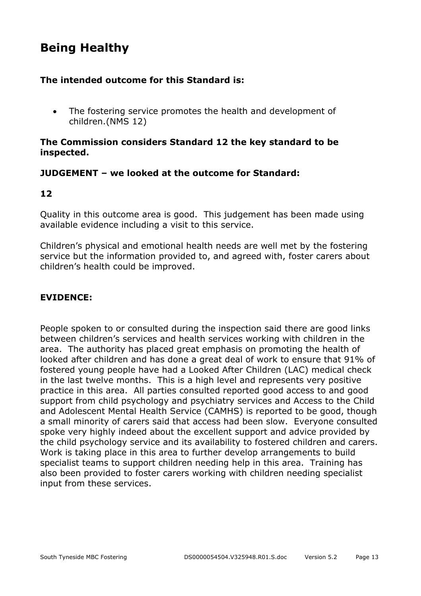## **Being Healthy**

#### **The intended outcome for this Standard is:**

• The fostering service promotes the health and development of children.(NMS 12)

#### **The Commission considers Standard 12 the key standard to be inspected.**

#### **JUDGEMENT – we looked at the outcome for Standard:**

#### **12**

Quality in this outcome area is good. This judgement has been made using available evidence including a visit to this service.

Children's physical and emotional health needs are well met by the fostering service but the information provided to, and agreed with, foster carers about children's health could be improved.

#### **EVIDENCE:**

People spoken to or consulted during the inspection said there are good links between children's services and health services working with children in the area. The authority has placed great emphasis on promoting the health of looked after children and has done a great deal of work to ensure that 91% of fostered young people have had a Looked After Children (LAC) medical check in the last twelve months. This is a high level and represents very positive practice in this area. All parties consulted reported good access to and good support from child psychology and psychiatry services and Access to the Child and Adolescent Mental Health Service (CAMHS) is reported to be good, though a small minority of carers said that access had been slow. Everyone consulted spoke very highly indeed about the excellent support and advice provided by the child psychology service and its availability to fostered children and carers. Work is taking place in this area to further develop arrangements to build specialist teams to support children needing help in this area. Training has also been provided to foster carers working with children needing specialist input from these services.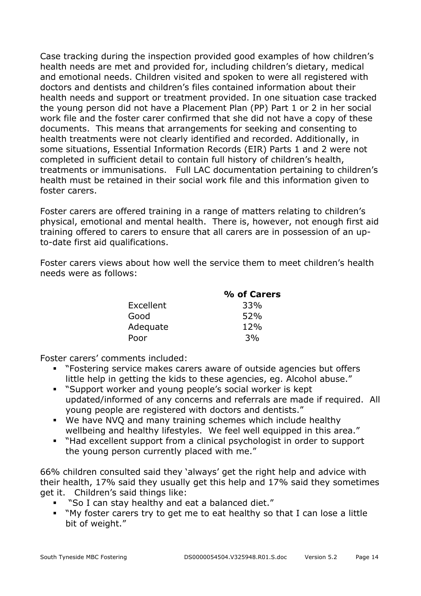Case tracking during the inspection provided good examples of how children's health needs are met and provided for, including children's dietary, medical and emotional needs. Children visited and spoken to were all registered with doctors and dentists and children's files contained information about their health needs and support or treatment provided. In one situation case tracked the young person did not have a Placement Plan (PP) Part 1 or 2 in her social work file and the foster carer confirmed that she did not have a copy of these documents. This means that arrangements for seeking and consenting to health treatments were not clearly identified and recorded. Additionally, in some situations, Essential Information Records (EIR) Parts 1 and 2 were not completed in sufficient detail to contain full history of children's health, treatments or immunisations. Full LAC documentation pertaining to children's health must be retained in their social work file and this information given to foster carers.

Foster carers are offered training in a range of matters relating to children's physical, emotional and mental health. There is, however, not enough first aid training offered to carers to ensure that all carers are in possession of an upto-date first aid qualifications.

Foster carers views about how well the service them to meet children's health needs were as follows:

| % of Carers |
|-------------|
| 33%         |
| 52%         |
| 12%         |
| 3%          |
|             |

Foster carers' comments included:

- "Fostering service makes carers aware of outside agencies but offers little help in getting the kids to these agencies, eg. Alcohol abuse."
- "Support worker and young people's social worker is kept updated/informed of any concerns and referrals are made if required. All young people are registered with doctors and dentists."
- We have NVQ and many training schemes which include healthy wellbeing and healthy lifestyles. We feel well equipped in this area."
- "Had excellent support from a clinical psychologist in order to support the young person currently placed with me."

66% children consulted said they 'always' get the right help and advice with their health, 17% said they usually get this help and 17% said they sometimes get it. Children's said things like:

- "So I can stay healthy and eat a balanced diet."
- "My foster carers try to get me to eat healthy so that I can lose a little bit of weight."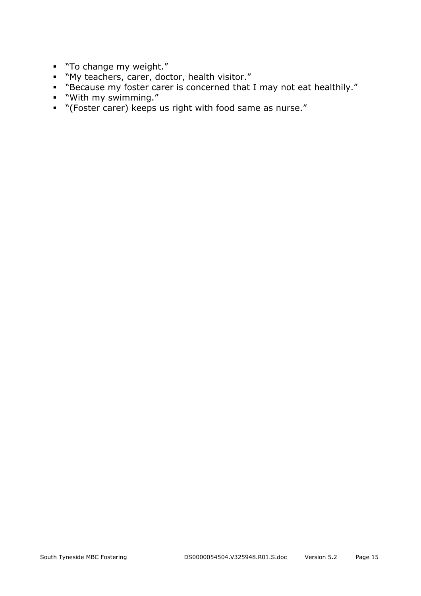- "To change my weight."
- "My teachers, carer, doctor, health visitor."
- "Because my foster carer is concerned that I may not eat healthily."
- "With my swimming."
- "(Foster carer) keeps us right with food same as nurse."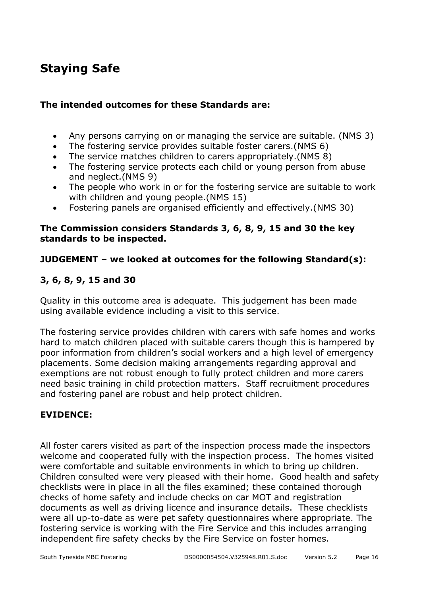## **Staying Safe**

#### **The intended outcomes for these Standards are:**

- Any persons carrying on or managing the service are suitable. (NMS 3)
- The fostering service provides suitable foster carers.(NMS 6)
- The service matches children to carers appropriately.(NMS 8)
- The fostering service protects each child or young person from abuse and neglect.(NMS 9)
- The people who work in or for the fostering service are suitable to work with children and young people.(NMS 15)
- Fostering panels are organised efficiently and effectively.(NMS 30)

#### **The Commission considers Standards 3, 6, 8, 9, 15 and 30 the key standards to be inspected.**

#### **JUDGEMENT – we looked at outcomes for the following Standard(s):**

#### **3, 6, 8, 9, 15 and 30**

Quality in this outcome area is adequate. This judgement has been made using available evidence including a visit to this service.

The fostering service provides children with carers with safe homes and works hard to match children placed with suitable carers though this is hampered by poor information from children's social workers and a high level of emergency placements. Some decision making arrangements regarding approval and exemptions are not robust enough to fully protect children and more carers need basic training in child protection matters. Staff recruitment procedures and fostering panel are robust and help protect children.

#### **EVIDENCE:**

All foster carers visited as part of the inspection process made the inspectors welcome and cooperated fully with the inspection process. The homes visited were comfortable and suitable environments in which to bring up children. Children consulted were very pleased with their home. Good health and safety checklists were in place in all the files examined; these contained thorough checks of home safety and include checks on car MOT and registration documents as well as driving licence and insurance details. These checklists were all up-to-date as were pet safety questionnaires where appropriate. The fostering service is working with the Fire Service and this includes arranging independent fire safety checks by the Fire Service on foster homes.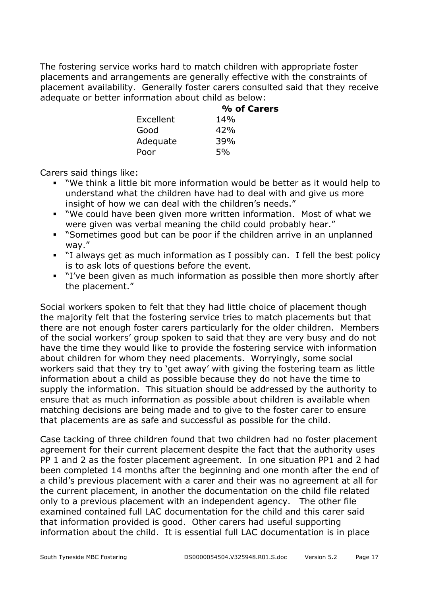The fostering service works hard to match children with appropriate foster placements and arrangements are generally effective with the constraints of placement availability. Generally foster carers consulted said that they receive adequate or better information about child as below:

|           | % of Carers |
|-----------|-------------|
| Excellent | 14%         |
| Good      | 42%         |
| Adequate  | 39%         |
| Poor      | 5%          |

Carers said things like:

- "We think a little bit more information would be better as it would help to understand what the children have had to deal with and give us more insight of how we can deal with the children's needs."
- "We could have been given more written information. Most of what we were given was verbal meaning the child could probably hear."
- "Sometimes good but can be poor if the children arrive in an unplanned way."
- "I always get as much information as I possibly can. I fell the best policy is to ask lots of questions before the event.
- "I've been given as much information as possible then more shortly after the placement."

Social workers spoken to felt that they had little choice of placement though the majority felt that the fostering service tries to match placements but that there are not enough foster carers particularly for the older children. Members of the social workers' group spoken to said that they are very busy and do not have the time they would like to provide the fostering service with information about children for whom they need placements. Worryingly, some social workers said that they try to 'get away' with giving the fostering team as little information about a child as possible because they do not have the time to supply the information. This situation should be addressed by the authority to ensure that as much information as possible about children is available when matching decisions are being made and to give to the foster carer to ensure that placements are as safe and successful as possible for the child.

Case tacking of three children found that two children had no foster placement agreement for their current placement despite the fact that the authority uses PP 1 and 2 as the foster placement agreement. In one situation PP1 and 2 had been completed 14 months after the beginning and one month after the end of a child's previous placement with a carer and their was no agreement at all for the current placement, in another the documentation on the child file related only to a previous placement with an independent agency. The other file examined contained full LAC documentation for the child and this carer said that information provided is good. Other carers had useful supporting information about the child. It is essential full LAC documentation is in place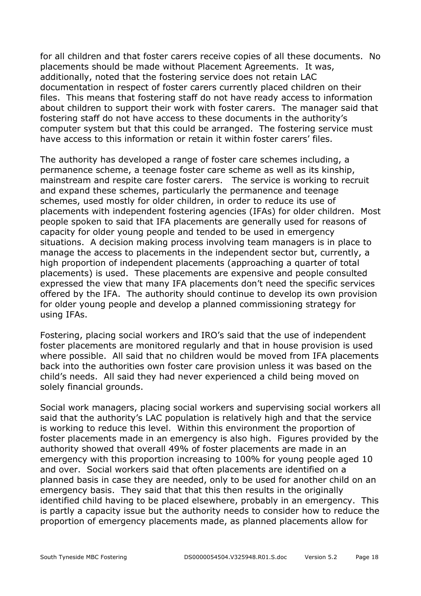for all children and that foster carers receive copies of all these documents. No placements should be made without Placement Agreements. It was, additionally, noted that the fostering service does not retain LAC documentation in respect of foster carers currently placed children on their files. This means that fostering staff do not have ready access to information about children to support their work with foster carers. The manager said that fostering staff do not have access to these documents in the authority's computer system but that this could be arranged. The fostering service must have access to this information or retain it within foster carers' files.

The authority has developed a range of foster care schemes including, a permanence scheme, a teenage foster care scheme as well as its kinship, mainstream and respite care foster carers. The service is working to recruit and expand these schemes, particularly the permanence and teenage schemes, used mostly for older children, in order to reduce its use of placements with independent fostering agencies (IFAs) for older children. Most people spoken to said that IFA placements are generally used for reasons of capacity for older young people and tended to be used in emergency situations. A decision making process involving team managers is in place to manage the access to placements in the independent sector but, currently, a high proportion of independent placements (approaching a quarter of total placements) is used. These placements are expensive and people consulted expressed the view that many IFA placements don't need the specific services offered by the IFA. The authority should continue to develop its own provision for older young people and develop a planned commissioning strategy for using IFAs.

Fostering, placing social workers and IRO's said that the use of independent foster placements are monitored regularly and that in house provision is used where possible. All said that no children would be moved from IFA placements back into the authorities own foster care provision unless it was based on the child's needs. All said they had never experienced a child being moved on solely financial grounds.

Social work managers, placing social workers and supervising social workers all said that the authority's LAC population is relatively high and that the service is working to reduce this level. Within this environment the proportion of foster placements made in an emergency is also high. Figures provided by the authority showed that overall 49% of foster placements are made in an emergency with this proportion increasing to 100% for young people aged 10 and over. Social workers said that often placements are identified on a planned basis in case they are needed, only to be used for another child on an emergency basis. They said that that this then results in the originally identified child having to be placed elsewhere, probably in an emergency. This is partly a capacity issue but the authority needs to consider how to reduce the proportion of emergency placements made, as planned placements allow for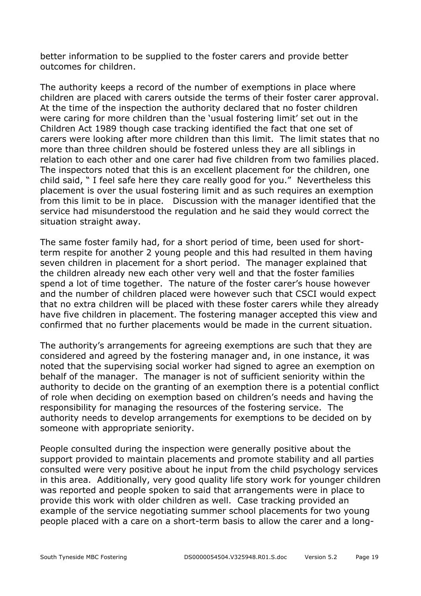better information to be supplied to the foster carers and provide better outcomes for children.

The authority keeps a record of the number of exemptions in place where children are placed with carers outside the terms of their foster carer approval. At the time of the inspection the authority declared that no foster children were caring for more children than the 'usual fostering limit' set out in the Children Act 1989 though case tracking identified the fact that one set of carers were looking after more children than this limit. The limit states that no more than three children should be fostered unless they are all siblings in relation to each other and one carer had five children from two families placed. The inspectors noted that this is an excellent placement for the children, one child said, " I feel safe here they care really good for you." Nevertheless this placement is over the usual fostering limit and as such requires an exemption from this limit to be in place. Discussion with the manager identified that the service had misunderstood the regulation and he said they would correct the situation straight away.

The same foster family had, for a short period of time, been used for shortterm respite for another 2 young people and this had resulted in them having seven children in placement for a short period. The manager explained that the children already new each other very well and that the foster families spend a lot of time together. The nature of the foster carer's house however and the number of children placed were however such that CSCI would expect that no extra children will be placed with these foster carers while they already have five children in placement. The fostering manager accepted this view and confirmed that no further placements would be made in the current situation.

The authority's arrangements for agreeing exemptions are such that they are considered and agreed by the fostering manager and, in one instance, it was noted that the supervising social worker had signed to agree an exemption on behalf of the manager. The manager is not of sufficient seniority within the authority to decide on the granting of an exemption there is a potential conflict of role when deciding on exemption based on children's needs and having the responsibility for managing the resources of the fostering service. The authority needs to develop arrangements for exemptions to be decided on by someone with appropriate seniority.

People consulted during the inspection were generally positive about the support provided to maintain placements and promote stability and all parties consulted were very positive about he input from the child psychology services in this area. Additionally, very good quality life story work for younger children was reported and people spoken to said that arrangements were in place to provide this work with older children as well. Case tracking provided an example of the service negotiating summer school placements for two young people placed with a care on a short-term basis to allow the carer and a long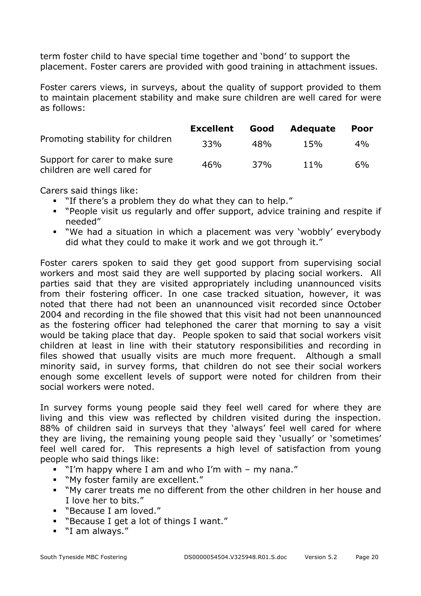term foster child to have special time together and 'bond' to support the placement. Foster carers are provided with good training in attachment issues.

Foster carers views, in surveys, about the quality of support provided to them to maintain placement stability and make sure children are well cared for were as follows:

|                                                               | <b>Excellent</b> | Good | <b>Adequate</b> | <b>Poor</b> |
|---------------------------------------------------------------|------------------|------|-----------------|-------------|
| Promoting stability for children                              | 33%              | 48%  | 15%             | $4\%$       |
| Support for carer to make sure<br>children are well cared for | 46%              | 37%  | $11\%$          | $6\%$       |

Carers said things like:

- "If there's a problem they do what they can to help."
- "People visit us regularly and offer support, advice training and respite if needed"
- "We had a situation in which a placement was very 'wobbly' everybody did what they could to make it work and we got through it."

Foster carers spoken to said they get good support from supervising social workers and most said they are well supported by placing social workers. All parties said that they are visited appropriately including unannounced visits from their fostering officer. In one case tracked situation, however, it was noted that there had not been an unannounced visit recorded since October 2004 and recording in the file showed that this visit had not been unannounced as the fostering officer had telephoned the carer that morning to say a visit would be taking place that day. People spoken to said that social workers visit children at least in line with their statutory responsibilities and recording in files showed that usually visits are much more frequent. Although a small minority said, in survey forms, that children do not see their social workers enough some excellent levels of support were noted for children from their social workers were noted.

In survey forms young people said they feel well cared for where they are living and this view was reflected by children visited during the inspection. 88% of children said in surveys that they 'always' feel well cared for where they are living, the remaining young people said they 'usually' or 'sometimes' feel well cared for. This represents a high level of satisfaction from young people who said things like:

- "I'm happy where I am and who I'm with my nana."
- "My foster family are excellent."
- "My carer treats me no different from the other children in her house and I love her to bits."
- "Because I am loved."
- "Because I get a lot of things I want."
- "I am always."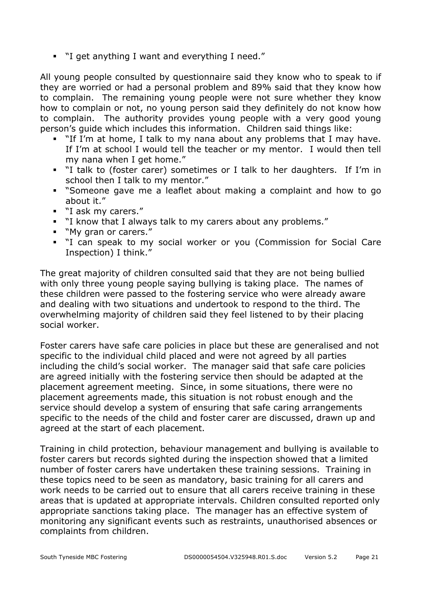"I get anything I want and everything I need."

All young people consulted by questionnaire said they know who to speak to if they are worried or had a personal problem and 89% said that they know how to complain. The remaining young people were not sure whether they know how to complain or not, no young person said they definitely do not know how to complain. The authority provides young people with a very good young person's guide which includes this information. Children said things like:

- "If I'm at home, I talk to my nana about any problems that I may have. If I'm at school I would tell the teacher or my mentor. I would then tell my nana when I get home."
- "I talk to (foster carer) sometimes or I talk to her daughters. If I'm in school then I talk to my mentor."
- "Someone gave me a leaflet about making a complaint and how to go about it."
- "I ask my carers."
- "I know that I always talk to my carers about any problems."
- "My gran or carers."
- " "I can speak to my social worker or you (Commission for Social Care Inspection) I think."

The great majority of children consulted said that they are not being bullied with only three young people saying bullying is taking place. The names of these children were passed to the fostering service who were already aware and dealing with two situations and undertook to respond to the third. The overwhelming majority of children said they feel listened to by their placing social worker.

Foster carers have safe care policies in place but these are generalised and not specific to the individual child placed and were not agreed by all parties including the child's social worker. The manager said that safe care policies are agreed initially with the fostering service then should be adapted at the placement agreement meeting. Since, in some situations, there were no placement agreements made, this situation is not robust enough and the service should develop a system of ensuring that safe caring arrangements specific to the needs of the child and foster carer are discussed, drawn up and agreed at the start of each placement.

Training in child protection, behaviour management and bullying is available to foster carers but records sighted during the inspection showed that a limited number of foster carers have undertaken these training sessions. Training in these topics need to be seen as mandatory, basic training for all carers and work needs to be carried out to ensure that all carers receive training in these areas that is updated at appropriate intervals. Children consulted reported only appropriate sanctions taking place. The manager has an effective system of monitoring any significant events such as restraints, unauthorised absences or complaints from children.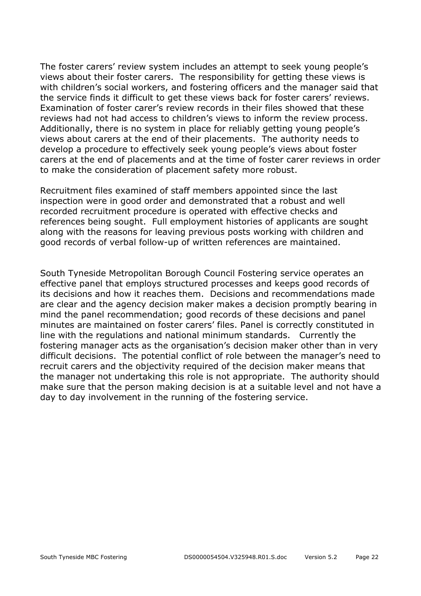The foster carers' review system includes an attempt to seek young people's views about their foster carers. The responsibility for getting these views is with children's social workers, and fostering officers and the manager said that the service finds it difficult to get these views back for foster carers' reviews. Examination of foster carer's review records in their files showed that these reviews had not had access to children's views to inform the review process. Additionally, there is no system in place for reliably getting young people's views about carers at the end of their placements. The authority needs to develop a procedure to effectively seek young people's views about foster carers at the end of placements and at the time of foster carer reviews in order to make the consideration of placement safety more robust.

Recruitment files examined of staff members appointed since the last inspection were in good order and demonstrated that a robust and well recorded recruitment procedure is operated with effective checks and references being sought. Full employment histories of applicants are sought along with the reasons for leaving previous posts working with children and good records of verbal follow-up of written references are maintained.

South Tyneside Metropolitan Borough Council Fostering service operates an effective panel that employs structured processes and keeps good records of its decisions and how it reaches them. Decisions and recommendations made are clear and the agency decision maker makes a decision promptly bearing in mind the panel recommendation; good records of these decisions and panel minutes are maintained on foster carers' files. Panel is correctly constituted in line with the regulations and national minimum standards. Currently the fostering manager acts as the organisation's decision maker other than in very difficult decisions. The potential conflict of role between the manager's need to recruit carers and the objectivity required of the decision maker means that the manager not undertaking this role is not appropriate. The authority should make sure that the person making decision is at a suitable level and not have a day to day involvement in the running of the fostering service.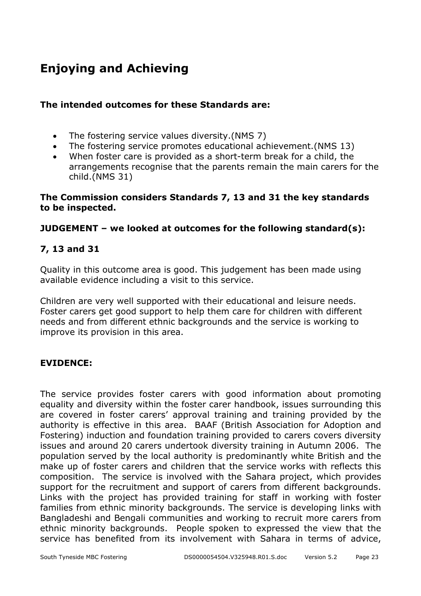# **Enjoying and Achieving**

#### **The intended outcomes for these Standards are:**

- The fostering service values diversity.(NMS 7)
- The fostering service promotes educational achievement.(NMS 13)
- When foster care is provided as a short-term break for a child, the arrangements recognise that the parents remain the main carers for the child.(NMS 31)

#### **The Commission considers Standards 7, 13 and 31 the key standards to be inspected.**

#### **JUDGEMENT – we looked at outcomes for the following standard(s):**

#### **7, 13 and 31**

Quality in this outcome area is good. This judgement has been made using available evidence including a visit to this service.

Children are very well supported with their educational and leisure needs. Foster carers get good support to help them care for children with different needs and from different ethnic backgrounds and the service is working to improve its provision in this area.

#### **EVIDENCE:**

The service provides foster carers with good information about promoting equality and diversity within the foster carer handbook, issues surrounding this are covered in foster carers' approval training and training provided by the authority is effective in this area. BAAF (British Association for Adoption and Fostering) induction and foundation training provided to carers covers diversity issues and around 20 carers undertook diversity training in Autumn 2006. The population served by the local authority is predominantly white British and the make up of foster carers and children that the service works with reflects this composition. The service is involved with the Sahara project, which provides support for the recruitment and support of carers from different backgrounds. Links with the project has provided training for staff in working with foster families from ethnic minority backgrounds. The service is developing links with Bangladeshi and Bengali communities and working to recruit more carers from ethnic minority backgrounds. People spoken to expressed the view that the service has benefited from its involvement with Sahara in terms of advice,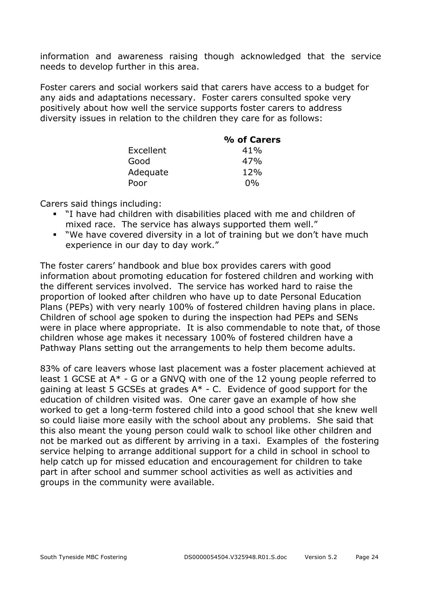information and awareness raising though acknowledged that the service needs to develop further in this area.

Foster carers and social workers said that carers have access to a budget for any aids and adaptations necessary. Foster carers consulted spoke very positively about how well the service supports foster carers to address diversity issues in relation to the children they care for as follows:

|           | % of Carers |
|-----------|-------------|
| Excellent | 41%         |
| Good      | 47%         |
| Adequate  | 12%         |
| Poor      | $0\%$       |

Carers said things including:

- "I have had children with disabilities placed with me and children of mixed race. The service has always supported them well."
- "We have covered diversity in a lot of training but we don't have much experience in our day to day work."

The foster carers' handbook and blue box provides carers with good information about promoting education for fostered children and working with the different services involved. The service has worked hard to raise the proportion of looked after children who have up to date Personal Education Plans (PEPs) with very nearly 100% of fostered children having plans in place. Children of school age spoken to during the inspection had PEPs and SENs were in place where appropriate. It is also commendable to note that, of those children whose age makes it necessary 100% of fostered children have a Pathway Plans setting out the arrangements to help them become adults.

83% of care leavers whose last placement was a foster placement achieved at least 1 GCSE at A\* - G or a GNVQ with one of the 12 young people referred to gaining at least 5 GCSEs at grades  $A^*$  - C. Evidence of good support for the education of children visited was. One carer gave an example of how she worked to get a long-term fostered child into a good school that she knew well so could liaise more easily with the school about any problems. She said that this also meant the young person could walk to school like other children and not be marked out as different by arriving in a taxi. Examples of the fostering service helping to arrange additional support for a child in school in school to help catch up for missed education and encouragement for children to take part in after school and summer school activities as well as activities and groups in the community were available.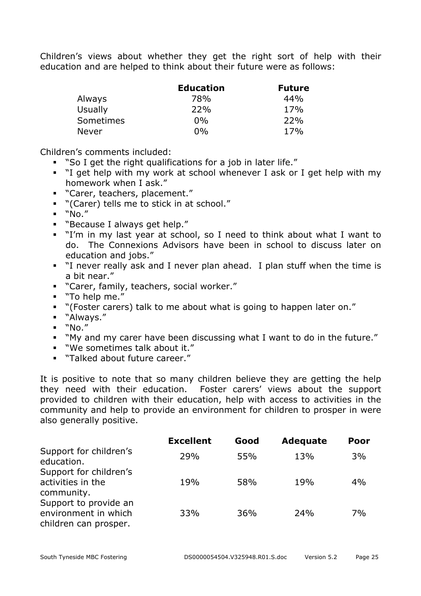Children's views about whether they get the right sort of help with their education and are helped to think about their future were as follows:

|                  | <b>Education</b> | <b>Future</b> |
|------------------|------------------|---------------|
| Always           | 78%              | 44%           |
| Usually          | 22%              | 17%           |
| <b>Sometimes</b> | $0\%$            | 22%           |
| <b>Never</b>     | $0\%$            | 17%           |

Children's comments included:

- "So I get the right qualifications for a job in later life."
- "I get help with my work at school whenever I ask or I get help with my homework when I ask."
- "Carer, teachers, placement."
- "(Carer) tells me to stick in at school."
- $"No."$
- "Because I always get help."
- "I'm in my last year at school, so I need to think about what I want to do. The Connexions Advisors have been in school to discuss later on education and jobs."
- "I never really ask and I never plan ahead. I plan stuff when the time is a bit near."
- "Carer, family, teachers, social worker."
- "To help me."
- "(Foster carers) talk to me about what is going to happen later on."
- "Always."
- $\blacksquare$  "No."
- "My and my carer have been discussing what I want to do in the future."
- "We sometimes talk about it."
- "Talked about future career."

It is positive to note that so many children believe they are getting the help they need with their education. Foster carers' views about the support provided to children with their education, help with access to activities in the community and help to provide an environment for children to prosper in were also generally positive.

|                                                                        | <b>Excellent</b> | Good | <b>Adequate</b> | Poor |
|------------------------------------------------------------------------|------------------|------|-----------------|------|
| Support for children's<br>education.                                   | 29%              | 55%  | 13%             | 3%   |
| Support for children's<br>activities in the<br>community.              | 19%              | 58%  | 19%             | 4%   |
| Support to provide an<br>environment in which<br>children can prosper. | 33%              | 36%  | 24%             | 7%   |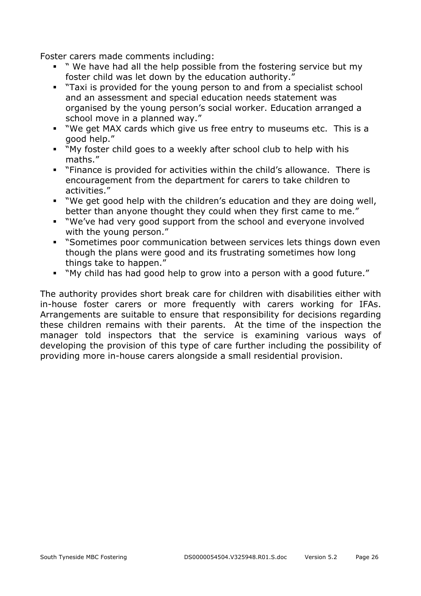Foster carers made comments including:

- " We have had all the help possible from the fostering service but my foster child was let down by the education authority."
- "Taxi is provided for the young person to and from a specialist school and an assessment and special education needs statement was organised by the young person's social worker. Education arranged a school move in a planned way."
- "We get MAX cards which give us free entry to museums etc. This is a good help."
- "My foster child goes to a weekly after school club to help with his maths."
- "Finance is provided for activities within the child's allowance. There is encouragement from the department for carers to take children to activities."
- "We get good help with the children's education and they are doing well, better than anyone thought they could when they first came to me."
- "We've had very good support from the school and everyone involved with the young person."
- **Sometimes poor communication between services lets things down even** though the plans were good and its frustrating sometimes how long things take to happen."
- "My child has had good help to grow into a person with a good future."

The authority provides short break care for children with disabilities either with in-house foster carers or more frequently with carers working for IFAs. Arrangements are suitable to ensure that responsibility for decisions regarding these children remains with their parents. At the time of the inspection the manager told inspectors that the service is examining various ways of developing the provision of this type of care further including the possibility of providing more in-house carers alongside a small residential provision.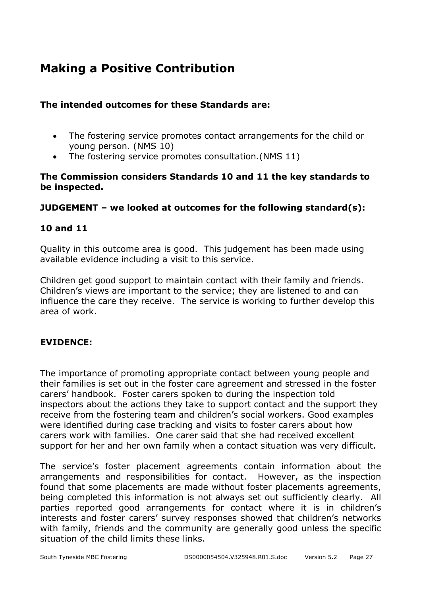## **Making a Positive Contribution**

#### **The intended outcomes for these Standards are:**

- The fostering service promotes contact arrangements for the child or young person. (NMS 10)
- The fostering service promotes consultation.(NMS 11)

#### **The Commission considers Standards 10 and 11 the key standards to be inspected.**

#### **JUDGEMENT – we looked at outcomes for the following standard(s):**

#### **10 and 11**

Quality in this outcome area is good. This judgement has been made using available evidence including a visit to this service.

Children get good support to maintain contact with their family and friends. Children's views are important to the service; they are listened to and can influence the care they receive. The service is working to further develop this area of work.

#### **EVIDENCE:**

The importance of promoting appropriate contact between young people and their families is set out in the foster care agreement and stressed in the foster carers' handbook. Foster carers spoken to during the inspection told inspectors about the actions they take to support contact and the support they receive from the fostering team and children's social workers. Good examples were identified during case tracking and visits to foster carers about how carers work with families. One carer said that she had received excellent support for her and her own family when a contact situation was very difficult.

The service's foster placement agreements contain information about the arrangements and responsibilities for contact. However, as the inspection found that some placements are made without foster placements agreements, being completed this information is not always set out sufficiently clearly. All parties reported good arrangements for contact where it is in children's interests and foster carers' survey responses showed that children's networks with family, friends and the community are generally good unless the specific situation of the child limits these links.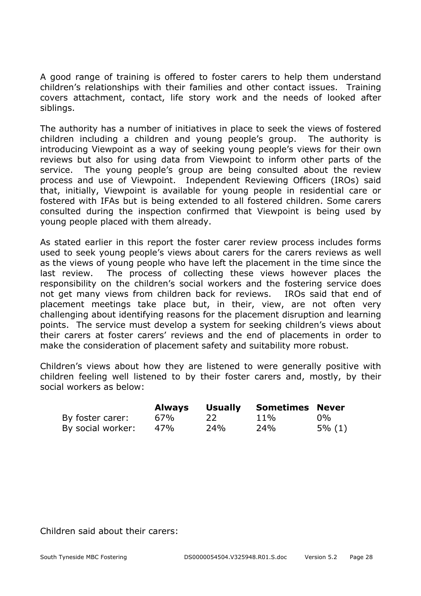A good range of training is offered to foster carers to help them understand children's relationships with their families and other contact issues. Training covers attachment, contact, life story work and the needs of looked after siblings.

The authority has a number of initiatives in place to seek the views of fostered children including a children and young people's group. The authority is introducing Viewpoint as a way of seeking young people's views for their own reviews but also for using data from Viewpoint to inform other parts of the service. The young people's group are being consulted about the review process and use of Viewpoint. Independent Reviewing Officers (IROs) said that, initially, Viewpoint is available for young people in residential care or fostered with IFAs but is being extended to all fostered children. Some carers consulted during the inspection confirmed that Viewpoint is being used by young people placed with them already.

As stated earlier in this report the foster carer review process includes forms used to seek young people's views about carers for the carers reviews as well as the views of young people who have left the placement in the time since the last review. The process of collecting these views however places the responsibility on the children's social workers and the fostering service does not get many views from children back for reviews. IROs said that end of placement meetings take place but, in their, view, are not often very challenging about identifying reasons for the placement disruption and learning points. The service must develop a system for seeking children's views about their carers at foster carers' reviews and the end of placements in order to make the consideration of placement safety and suitability more robust.

Children's views about how they are listened to were generally positive with children feeling well listened to by their foster carers and, mostly, by their social workers as below:

|                   | Always |     | <b>Usually Sometimes Never</b> |           |
|-------------------|--------|-----|--------------------------------|-----------|
| By foster carer:  | 67%    | 22. | $11\%$                         | $0\%$     |
| By social worker: | 47%    | 24% | 24%                            | $5\%$ (1) |

Children said about their carers: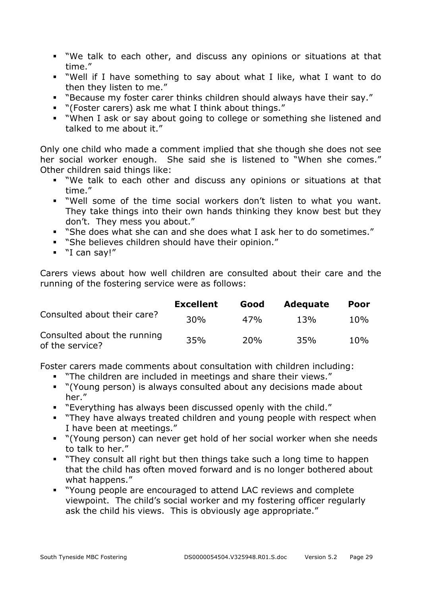- "We talk to each other, and discuss any opinions or situations at that time."
- "Well if I have something to say about what I like, what I want to do then they listen to me."
- "Because my foster carer thinks children should always have their say."
- "(Foster carers) ask me what I think about things."
- "When I ask or say about going to college or something she listened and talked to me about it."

Only one child who made a comment implied that she though she does not see her social worker enough. She said she is listened to "When she comes." Other children said things like:

- "We talk to each other and discuss any opinions or situations at that time."
- "Well some of the time social workers don't listen to what you want. They take things into their own hands thinking they know best but they don't. They mess you about."
- "She does what she can and she does what I ask her to do sometimes."
- "She believes children should have their opinion."
- "I can say!"

Carers views about how well children are consulted about their care and the running of the fostering service were as follows:

|                                                | <b>Excellent</b> | Good | <b>Adequate</b> | <b>Poor</b> |
|------------------------------------------------|------------------|------|-----------------|-------------|
| Consulted about their care?                    | 30%              | 47%  | 13%             | 10%         |
| Consulted about the running<br>of the service? | 35%              | 20%  | 35%             | 10%         |

Foster carers made comments about consultation with children including:

- "The children are included in meetings and share their views."
- "(Young person) is always consulted about any decisions made about her."
- "Everything has always been discussed openly with the child."
- **They have always treated children and young people with respect when** I have been at meetings."
- "(Young person) can never get hold of her social worker when she needs to talk to her."
- "They consult all right but then things take such a long time to happen that the child has often moved forward and is no longer bothered about what happens."
- "Young people are encouraged to attend LAC reviews and complete viewpoint. The child's social worker and my fostering officer regularly ask the child his views. This is obviously age appropriate."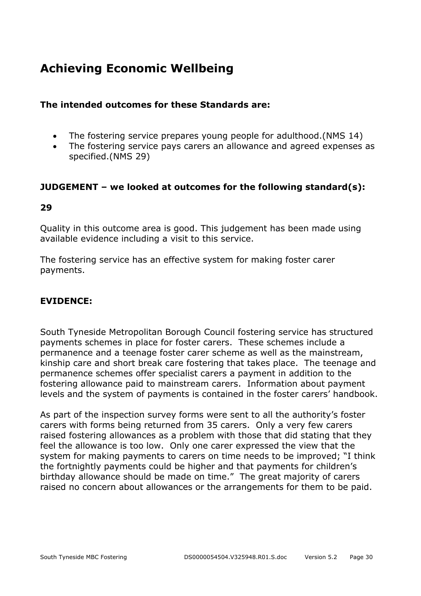## **Achieving Economic Wellbeing**

#### **The intended outcomes for these Standards are:**

- The fostering service prepares young people for adulthood. (NMS 14)
- The fostering service pays carers an allowance and agreed expenses as specified.(NMS 29)

#### **JUDGEMENT – we looked at outcomes for the following standard(s):**

#### **29**

Quality in this outcome area is good. This judgement has been made using available evidence including a visit to this service.

The fostering service has an effective system for making foster carer payments.

#### **EVIDENCE:**

South Tyneside Metropolitan Borough Council fostering service has structured payments schemes in place for foster carers. These schemes include a permanence and a teenage foster carer scheme as well as the mainstream, kinship care and short break care fostering that takes place. The teenage and permanence schemes offer specialist carers a payment in addition to the fostering allowance paid to mainstream carers. Information about payment levels and the system of payments is contained in the foster carers' handbook.

As part of the inspection survey forms were sent to all the authority's foster carers with forms being returned from 35 carers. Only a very few carers raised fostering allowances as a problem with those that did stating that they feel the allowance is too low. Only one carer expressed the view that the system for making payments to carers on time needs to be improved; "I think the fortnightly payments could be higher and that payments for children's birthday allowance should be made on time." The great majority of carers raised no concern about allowances or the arrangements for them to be paid.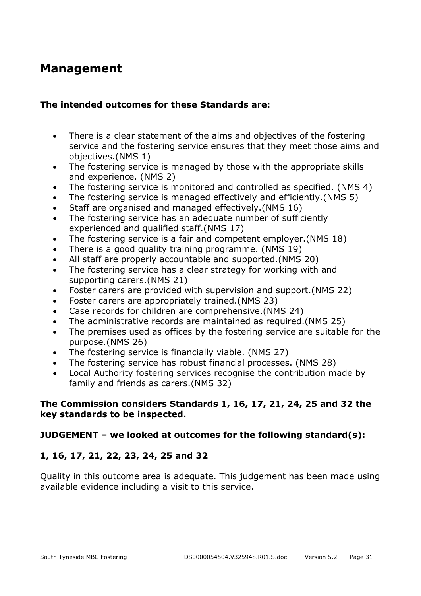### **Management**

#### **The intended outcomes for these Standards are:**

- There is a clear statement of the aims and objectives of the fostering service and the fostering service ensures that they meet those aims and objectives.(NMS 1)
- The fostering service is managed by those with the appropriate skills and experience. (NMS 2)
- The fostering service is monitored and controlled as specified. (NMS 4)
- The fostering service is managed effectively and efficiently.(NMS 5)
- Staff are organised and managed effectively.(NMS 16)
- The fostering service has an adequate number of sufficiently experienced and qualified staff.(NMS 17)
- The fostering service is a fair and competent employer.(NMS 18)
- There is a good quality training programme. (NMS 19)
- All staff are properly accountable and supported.(NMS 20)
- The fostering service has a clear strategy for working with and supporting carers.(NMS 21)
- Foster carers are provided with supervision and support.(NMS 22)
- Foster carers are appropriately trained.(NMS 23)
- Case records for children are comprehensive.(NMS 24)
- The administrative records are maintained as required.(NMS 25)
- The premises used as offices by the fostering service are suitable for the purpose.(NMS 26)
- The fostering service is financially viable. (NMS 27)
- The fostering service has robust financial processes. (NMS 28)
- Local Authority fostering services recognise the contribution made by family and friends as carers.(NMS 32)

#### **The Commission considers Standards 1, 16, 17, 21, 24, 25 and 32 the key standards to be inspected.**

#### **JUDGEMENT – we looked at outcomes for the following standard(s):**

#### **1, 16, 17, 21, 22, 23, 24, 25 and 32**

Quality in this outcome area is adequate. This judgement has been made using available evidence including a visit to this service.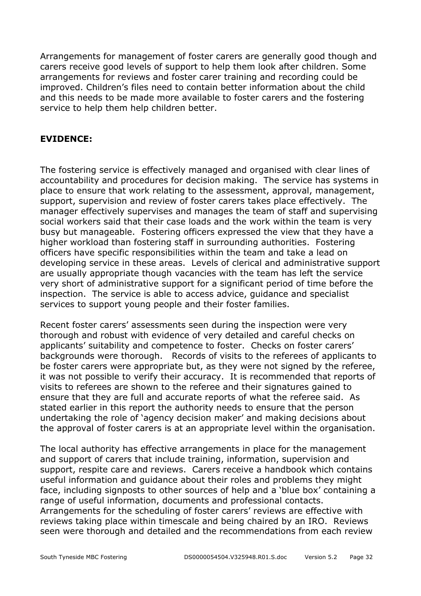Arrangements for management of foster carers are generally good though and carers receive good levels of support to help them look after children. Some arrangements for reviews and foster carer training and recording could be improved. Children's files need to contain better information about the child and this needs to be made more available to foster carers and the fostering service to help them help children better.

#### **EVIDENCE:**

The fostering service is effectively managed and organised with clear lines of accountability and procedures for decision making. The service has systems in place to ensure that work relating to the assessment, approval, management, support, supervision and review of foster carers takes place effectively. The manager effectively supervises and manages the team of staff and supervising social workers said that their case loads and the work within the team is very busy but manageable. Fostering officers expressed the view that they have a higher workload than fostering staff in surrounding authorities. Fostering officers have specific responsibilities within the team and take a lead on developing service in these areas. Levels of clerical and administrative support are usually appropriate though vacancies with the team has left the service very short of administrative support for a significant period of time before the inspection. The service is able to access advice, guidance and specialist services to support young people and their foster families.

Recent foster carers' assessments seen during the inspection were very thorough and robust with evidence of very detailed and careful checks on applicants' suitability and competence to foster. Checks on foster carers' backgrounds were thorough. Records of visits to the referees of applicants to be foster carers were appropriate but, as they were not signed by the referee, it was not possible to verify their accuracy. It is recommended that reports of visits to referees are shown to the referee and their signatures gained to ensure that they are full and accurate reports of what the referee said. As stated earlier in this report the authority needs to ensure that the person undertaking the role of 'agency decision maker' and making decisions about the approval of foster carers is at an appropriate level within the organisation.

The local authority has effective arrangements in place for the management and support of carers that include training, information, supervision and support, respite care and reviews. Carers receive a handbook which contains useful information and guidance about their roles and problems they might face, including signposts to other sources of help and a 'blue box' containing a range of useful information, documents and professional contacts. Arrangements for the scheduling of foster carers' reviews are effective with reviews taking place within timescale and being chaired by an IRO. Reviews seen were thorough and detailed and the recommendations from each review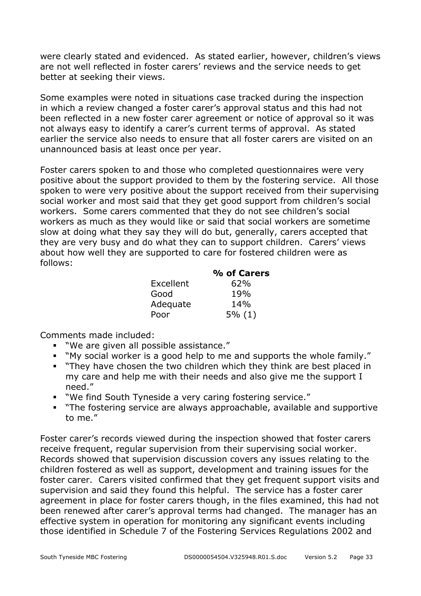were clearly stated and evidenced. As stated earlier, however, children's views are not well reflected in foster carers' reviews and the service needs to get better at seeking their views.

Some examples were noted in situations case tracked during the inspection in which a review changed a foster carer's approval status and this had not been reflected in a new foster carer agreement or notice of approval so it was not always easy to identify a carer's current terms of approval. As stated earlier the service also needs to ensure that all foster carers are visited on an unannounced basis at least once per year.

Foster carers spoken to and those who completed questionnaires were very positive about the support provided to them by the fostering service. All those spoken to were very positive about the support received from their supervising social worker and most said that they get good support from children's social workers. Some carers commented that they do not see children's social workers as much as they would like or said that social workers are sometime slow at doing what they say they will do but, generally, carers accepted that they are very busy and do what they can to support children. Carers' views about how well they are supported to care for fostered children were as follows:

|           | % of Carers |
|-----------|-------------|
| Excellent | 62%         |
| Good      | 19%         |
| Adequate  | 14%         |
| Poor      | 5% (1)      |

Comments made included:

- "We are given all possible assistance."
- "My social worker is a good help to me and supports the whole family."
- **They have chosen the two children which they think are best placed in** my care and help me with their needs and also give me the support I need."
- "We find South Tyneside a very caring fostering service."
- "The fostering service are always approachable, available and supportive to me."

Foster carer's records viewed during the inspection showed that foster carers receive frequent, regular supervision from their supervising social worker. Records showed that supervision discussion covers any issues relating to the children fostered as well as support, development and training issues for the foster carer. Carers visited confirmed that they get frequent support visits and supervision and said they found this helpful. The service has a foster carer agreement in place for foster carers though, in the files examined, this had not been renewed after carer's approval terms had changed. The manager has an effective system in operation for monitoring any significant events including those identified in Schedule 7 of the Fostering Services Regulations 2002 and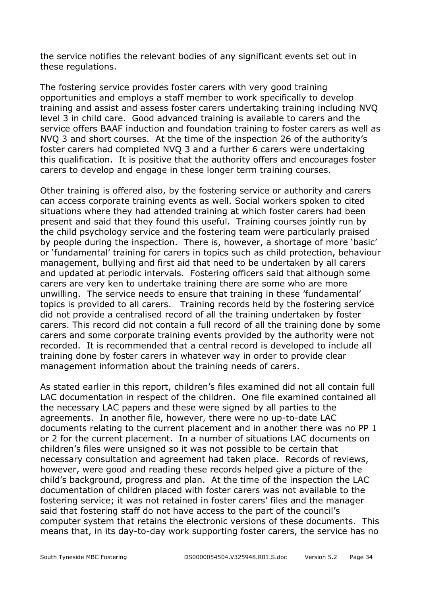the service notifies the relevant bodies of any significant events set out in these regulations.

The fostering service provides foster carers with very good training opportunities and employs a staff member to work specifically to develop training and assist and assess foster carers undertaking training including NVQ level 3 in child care. Good advanced training is available to carers and the service offers BAAF induction and foundation training to foster carers as well as NVQ 3 and short courses. At the time of the inspection 26 of the authority's foster carers had completed NVQ 3 and a further 6 carers were undertaking this qualification. It is positive that the authority offers and encourages foster carers to develop and engage in these longer term training courses.

Other training is offered also, by the fostering service or authority and carers can access corporate training events as well. Social workers spoken to cited situations where they had attended training at which foster carers had been present and said that they found this useful. Training courses jointly run by the child psychology service and the fostering team were particularly praised by people during the inspection. There is, however, a shortage of more 'basic' or 'fundamental' training for carers in topics such as child protection, behaviour management, bullying and first aid that need to be undertaken by all carers and updated at periodic intervals. Fostering officers said that although some carers are very ken to undertake training there are some who are more unwilling. The service needs to ensure that training in these 'fundamental' topics is provided to all carers. Training records held by the fostering service did not provide a centralised record of all the training undertaken by foster carers. This record did not contain a full record of all the training done by some carers and some corporate training events provided by the authority were not recorded. It is recommended that a central record is developed to include all training done by foster carers in whatever way in order to provide clear management information about the training needs of carers.

As stated earlier in this report, children's files examined did not all contain full LAC documentation in respect of the children. One file examined contained all the necessary LAC papers and these were signed by all parties to the agreements. In another file, however, there were no up-to-date LAC documents relating to the current placement and in another there was no PP 1 or 2 for the current placement. In a number of situations LAC documents on children's files were unsigned so it was not possible to be certain that necessary consultation and agreement had taken place. Records of reviews, however, were good and reading these records helped give a picture of the child's background, progress and plan. At the time of the inspection the LAC documentation of children placed with foster carers was not available to the fostering service; it was not retained in foster carers' files and the manager said that fostering staff do not have access to the part of the council's computer system that retains the electronic versions of these documents. This means that, in its day-to-day work supporting foster carers, the service has no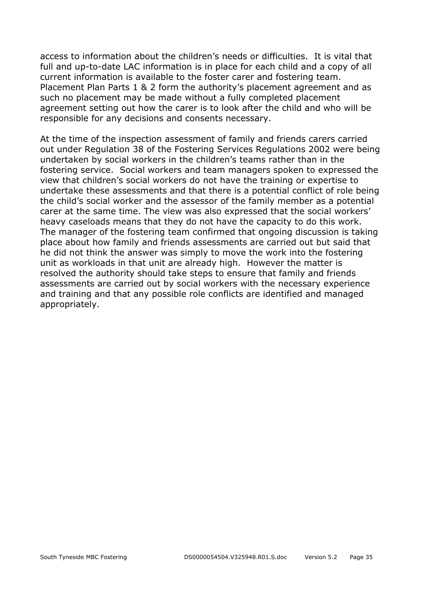access to information about the children's needs or difficulties. It is vital that full and up-to-date LAC information is in place for each child and a copy of all current information is available to the foster carer and fostering team. Placement Plan Parts 1 & 2 form the authority's placement agreement and as such no placement may be made without a fully completed placement agreement setting out how the carer is to look after the child and who will be responsible for any decisions and consents necessary.

At the time of the inspection assessment of family and friends carers carried out under Regulation 38 of the Fostering Services Regulations 2002 were being undertaken by social workers in the children's teams rather than in the fostering service. Social workers and team managers spoken to expressed the view that children's social workers do not have the training or expertise to undertake these assessments and that there is a potential conflict of role being the child's social worker and the assessor of the family member as a potential carer at the same time. The view was also expressed that the social workers' heavy caseloads means that they do not have the capacity to do this work. The manager of the fostering team confirmed that ongoing discussion is taking place about how family and friends assessments are carried out but said that he did not think the answer was simply to move the work into the fostering unit as workloads in that unit are already high. However the matter is resolved the authority should take steps to ensure that family and friends assessments are carried out by social workers with the necessary experience and training and that any possible role conflicts are identified and managed appropriately.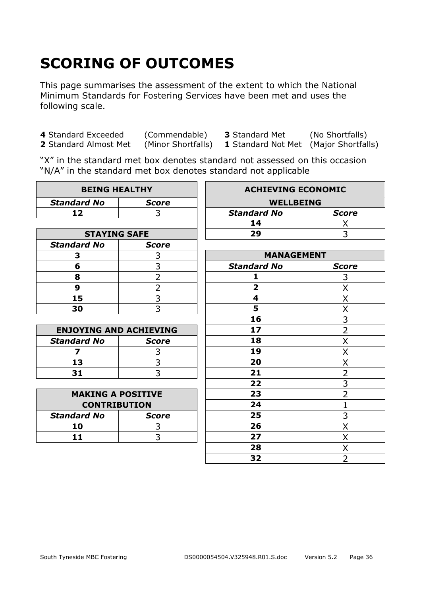# **SCORING OF OUTCOMES**

This page summarises the assessment of the extent to which the National Minimum Standards for Fostering Services have been met and uses the following scale.

**4** Standard Exceeded (Commendable) **3** Standard Met (No Shortfalls)

**2** Standard Almost Met (Minor Shortfalls) **1** Standard Not Met (Major Shortfalls)

"X" in the standard met box denotes standard not assessed on this occasion "N/A" in the standard met box denotes standard not applicable

| <b>BEING HEALTHY</b>          |                | <b>ACHIEVING ECONOMIC</b> |                |
|-------------------------------|----------------|---------------------------|----------------|
| <b>Standard No</b>            | <b>Score</b>   | <b>WELLBEING</b>          |                |
| 12                            | 3              | <b>Standard No</b>        | <b>Score</b>   |
|                               |                | 14                        | Χ              |
| <b>STAYING SAFE</b>           |                | 29                        | 3              |
| <b>Standard No</b>            | <b>Score</b>   |                           |                |
| 3                             | 3              | <b>MANAGEMENT</b>         |                |
| 6                             | 3              | <b>Standard No</b>        | <b>Score</b>   |
| 8                             | $\overline{2}$ | 1                         | 3              |
| 9                             | $\overline{2}$ | $\overline{\mathbf{2}}$   | X              |
| 15                            | $\overline{3}$ | $\overline{\mathbf{4}}$   | X              |
| 30                            | 3              | 5                         | Χ              |
|                               |                | 16                        | $\overline{3}$ |
| <b>ENJOYING AND ACHIEVING</b> |                | 17                        | $\overline{2}$ |
| <b>Standard No</b>            | <b>Score</b>   | 18                        | X              |
| 7                             | 3              | 19                        | X              |
| 13                            | 3              | 20                        | X              |
| 31                            | $\overline{3}$ | 21                        | $\overline{2}$ |
|                               |                | 22                        | $\overline{3}$ |
| <b>MAKING A POSITIVE</b>      |                | 23                        | $\overline{2}$ |
| <b>CONTRIBUTION</b>           |                | 24                        | $\mathbf 1$    |
| <b>Standard No</b>            | <b>Score</b>   | 25                        | 3              |
| 10                            | 3              | 26                        | X              |
| 11                            | 3              | 27                        | X              |
|                               |                | 28                        | X              |
|                               |                | 32                        | $\overline{2}$ |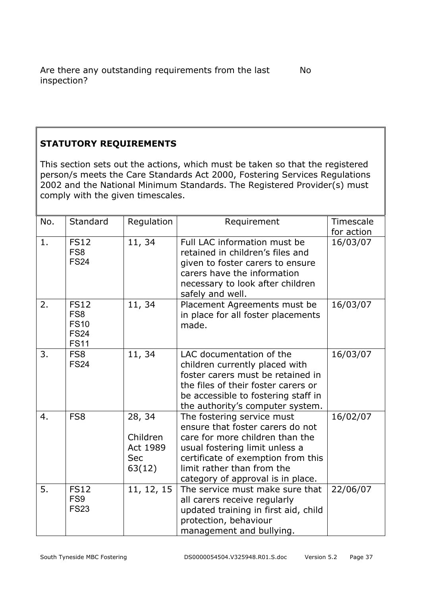#### **STATUTORY REQUIREMENTS**

This section sets out the actions, which must be taken so that the registered person/s meets the Care Standards Act 2000, Fostering Services Regulations 2002 and the National Minimum Standards. The Registered Provider(s) must comply with the given timescales.

| No. | Standard                                                                    | Regulation                                             | Requirement                                                                                                                                                                                                                                  | Timescale<br>for action |
|-----|-----------------------------------------------------------------------------|--------------------------------------------------------|----------------------------------------------------------------------------------------------------------------------------------------------------------------------------------------------------------------------------------------------|-------------------------|
| 1.  | <b>FS12</b><br>FS <sub>8</sub><br><b>FS24</b>                               | 11, 34                                                 | Full LAC information must be<br>retained in children's files and<br>given to foster carers to ensure<br>carers have the information<br>necessary to look after children<br>safely and well.                                                  | 16/03/07                |
| 2.  | <b>FS12</b><br>FS <sub>8</sub><br><b>FS10</b><br><b>FS24</b><br><b>FS11</b> | 11, 34                                                 | Placement Agreements must be<br>in place for all foster placements<br>made.                                                                                                                                                                  | 16/03/07                |
| 3.  | FS <sub>8</sub><br><b>FS24</b>                                              | 11, 34                                                 | LAC documentation of the<br>children currently placed with<br>foster carers must be retained in<br>the files of their foster carers or<br>be accessible to fostering staff in<br>the authority's computer system.                            | 16/03/07                |
| 4.  | FS <sub>8</sub>                                                             | 28, 34<br>Children<br>Act 1989<br><b>Sec</b><br>63(12) | The fostering service must<br>ensure that foster carers do not<br>care for more children than the<br>usual fostering limit unless a<br>certificate of exemption from this<br>limit rather than from the<br>category of approval is in place. | 16/02/07                |
| 5.  | <b>FS12</b><br>FS <sub>9</sub><br><b>FS23</b>                               | 11, 12, 15                                             | The service must make sure that<br>all carers receive regularly<br>updated training in first aid, child<br>protection, behaviour<br>management and bullying.                                                                                 | 22/06/07                |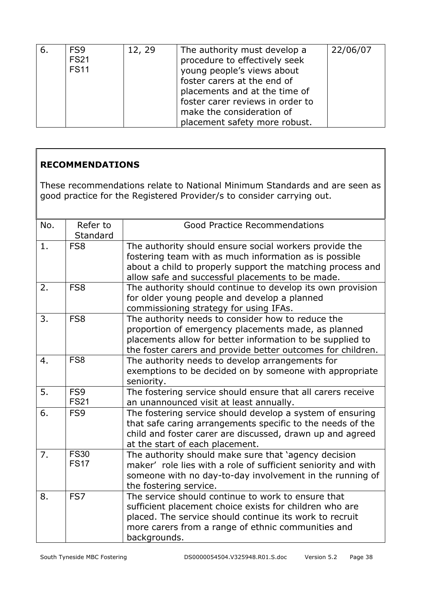| 6. | FS <sub>9</sub> | 12, 29 |                                  | 22/06/07 |
|----|-----------------|--------|----------------------------------|----------|
|    |                 |        | The authority must develop a     |          |
|    | <b>FS21</b>     |        | procedure to effectively seek    |          |
|    | <b>FS11</b>     |        | young people's views about       |          |
|    |                 |        | foster carers at the end of      |          |
|    |                 |        | placements and at the time of    |          |
|    |                 |        | foster carer reviews in order to |          |
|    |                 |        | make the consideration of        |          |
|    |                 |        | placement safety more robust.    |          |

#### **RECOMMENDATIONS**

These recommendations relate to National Minimum Standards and are seen as good practice for the Registered Provider/s to consider carrying out.

| No. | Refer to<br>Standard       | <b>Good Practice Recommendations</b>                                                                                                                                                                                                           |
|-----|----------------------------|------------------------------------------------------------------------------------------------------------------------------------------------------------------------------------------------------------------------------------------------|
| 1.  | FS <sub>8</sub>            | The authority should ensure social workers provide the<br>fostering team with as much information as is possible<br>about a child to properly support the matching process and<br>allow safe and successful placements to be made.             |
| 2.  | FS <sub>8</sub>            | The authority should continue to develop its own provision<br>for older young people and develop a planned<br>commissioning strategy for using IFAs.                                                                                           |
| 3.  | FS <sub>8</sub>            | The authority needs to consider how to reduce the<br>proportion of emergency placements made, as planned<br>placements allow for better information to be supplied to<br>the foster carers and provide better outcomes for children.           |
| 4.  | FS <sub>8</sub>            | The authority needs to develop arrangements for<br>exemptions to be decided on by someone with appropriate<br>seniority.                                                                                                                       |
| 5.  | FS9<br><b>FS21</b>         | The fostering service should ensure that all carers receive<br>an unannounced visit at least annually.                                                                                                                                         |
| 6.  | FS9                        | The fostering service should develop a system of ensuring<br>that safe caring arrangements specific to the needs of the<br>child and foster carer are discussed, drawn up and agreed<br>at the start of each placement.                        |
| 7.  | <b>FS30</b><br><b>FS17</b> | The authority should make sure that 'agency decision<br>maker' role lies with a role of sufficient seniority and with<br>someone with no day-to-day involvement in the running of<br>the fostering service.                                    |
| 8.  | FS7                        | The service should continue to work to ensure that<br>sufficient placement choice exists for children who are<br>placed. The service should continue its work to recruit<br>more carers from a range of ethnic communities and<br>backgrounds. |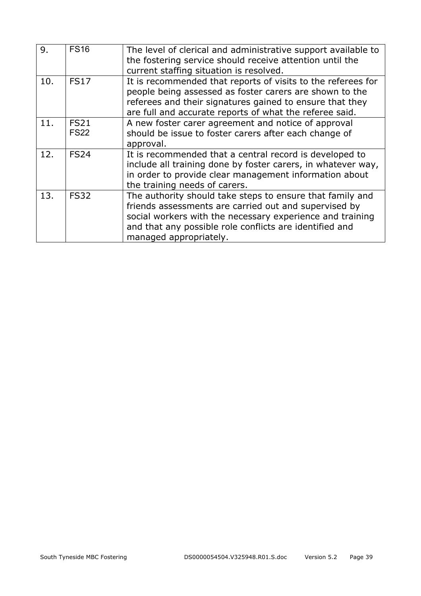| 9.  | <b>FS16</b>                | The level of clerical and administrative support available to<br>the fostering service should receive attention until the<br>current staffing situation is resolved.                                                                                                 |
|-----|----------------------------|----------------------------------------------------------------------------------------------------------------------------------------------------------------------------------------------------------------------------------------------------------------------|
| 10. | <b>FS17</b>                | It is recommended that reports of visits to the referees for<br>people being assessed as foster carers are shown to the<br>referees and their signatures gained to ensure that they<br>are full and accurate reports of what the referee said.                       |
| 11. | <b>FS21</b><br><b>FS22</b> | A new foster carer agreement and notice of approval<br>should be issue to foster carers after each change of<br>approval.                                                                                                                                            |
| 12. | <b>FS24</b>                | It is recommended that a central record is developed to<br>include all training done by foster carers, in whatever way,<br>in order to provide clear management information about<br>the training needs of carers.                                                   |
| 13. | <b>FS32</b>                | The authority should take steps to ensure that family and<br>friends assessments are carried out and supervised by<br>social workers with the necessary experience and training<br>and that any possible role conflicts are identified and<br>managed appropriately. |